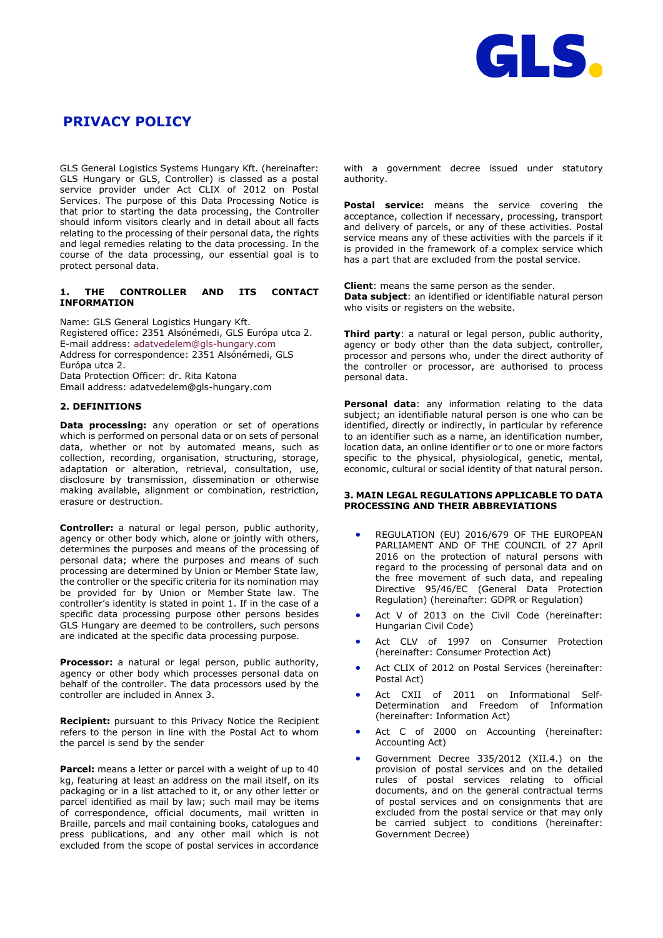

# **PRIVACY POLICY**

GLS General Logistics Systems Hungary Kft. (hereinafter: GLS Hungary or GLS, Controller) is classed as a postal service provider under Act CLIX of 2012 on Postal Services. The purpose of this Data Processing Notice is that prior to starting the data processing, the Controller should inform visitors clearly and in detail about all facts relating to the processing of their personal data, the rights and legal remedies relating to the data processing. In the course of the data processing, our essential goal is to protect personal data.

# **1. THE CONTROLLER AND ITS CONTACT INFORMATION**

Name: GLS General Logistics Hungary Kft. Registered office: 2351 Alsónémedi, GLS Európa utca 2. E-mail address: [adatvedelem@gls-hungary.com](mailto:adatvedelem@gls-hungary.com) Address for correspondence: 2351 Alsónémedi, GLS Európa utca 2. Data Protection Officer: dr. Rita Katona Email address: [adatvedelem@gls-hungary.com](mailto:adatvedelem@gls-hungary.com)

# **2. DEFINITIONS**

**Data processing:** any operation or set of operations which is performed on personal data or on sets of personal data, whether or not by automated means, such as collection, recording, organisation, structuring, storage, adaptation or alteration, retrieval, consultation, use, disclosure by transmission, dissemination or otherwise making available, alignment or combination, restriction, erasure or destruction.

**Controller:** a natural or legal person, public authority, agency or other body which, alone or jointly with others, determines the purposes and means of the processing of personal data; where the purposes and means of such processing are determined by Union or Member State law, the controller or the specific criteria for its nomination may be provided for by Union or Member State law. The controller's identity is stated in point 1. If in the case of a specific data processing purpose other persons besides GLS Hungary are deemed to be controllers, such persons are indicated at the specific data processing purpose.

**Processor:** a natural or legal person, public authority, agency or other body which processes personal data on behalf of the controller. The data processors used by the controller are included in Annex 3.

**Recipient:** pursuant to this Privacy Notice the Recipient refers to the person in line with the Postal Act to whom the parcel is send by the sender

**Parcel:** means a letter or parcel with a weight of up to 40 kg, featuring at least an address on the mail itself, on its packaging or in a list attached to it, or any other letter or parcel identified as mail by law; such mail may be items of correspondence, official documents, mail written in Braille, parcels and mail containing books, catalogues and press publications, and any other mail which is not excluded from the scope of postal services in accordance with a government decree issued under statutory authority.

**Postal service:** means the service covering the acceptance, collection if necessary, processing, transport and delivery of parcels, or any of these activities. Postal service means any of these activities with the parcels if it is provided in the framework of a complex service which has a part that are excluded from the postal service.

**Client**: means the same person as the sender. **Data subject**: an identified or identifiable natural person who visits or registers on the website.

**Third party**: a natural or legal person, public authority, agency or body other than the data subject, controller, processor and persons who, under the direct authority of the controller or processor, are authorised to process personal data.

**Personal data**: any information relating to the data subject; an identifiable natural person is one who can be identified, directly or indirectly, in particular by reference to an identifier such as a name, an identification number, location data, an online identifier or to one or more factors specific to the physical, physiological, genetic, mental, economic, cultural or social identity of that natural person.

### **3. MAIN LEGAL REGULATIONS APPLICABLE TO DATA PROCESSING AND THEIR ABBREVIATIONS**

- REGULATION (EU) 2016/679 OF THE EUROPEAN PARLIAMENT AND OF THE COUNCIL of 27 April 2016 on the protection of natural persons with regard to the processing of personal data and on the free movement of such data, and repealing Directive 95/46/EC (General Data Protection Regulation) (hereinafter: GDPR or Regulation)
- Act V of 2013 on the Civil Code (hereinafter: Hungarian Civil Code)
- Act CLV of 1997 on Consumer Protection (hereinafter: Consumer Protection Act)
- Act CLIX of 2012 on Postal Services (hereinafter: Postal Act)
- Act CXII of 2011 on Informational Self-Determination and Freedom of Information (hereinafter: Information Act)
- Act C of 2000 on Accounting (hereinafter: Accounting Act)
- Government Decree 335/2012 (XII.4.) on the provision of postal services and on the detailed rules of postal services relating to official documents, and on the general contractual terms of postal services and on consignments that are excluded from the postal service or that may only be carried subject to conditions (hereinafter: Government Decree)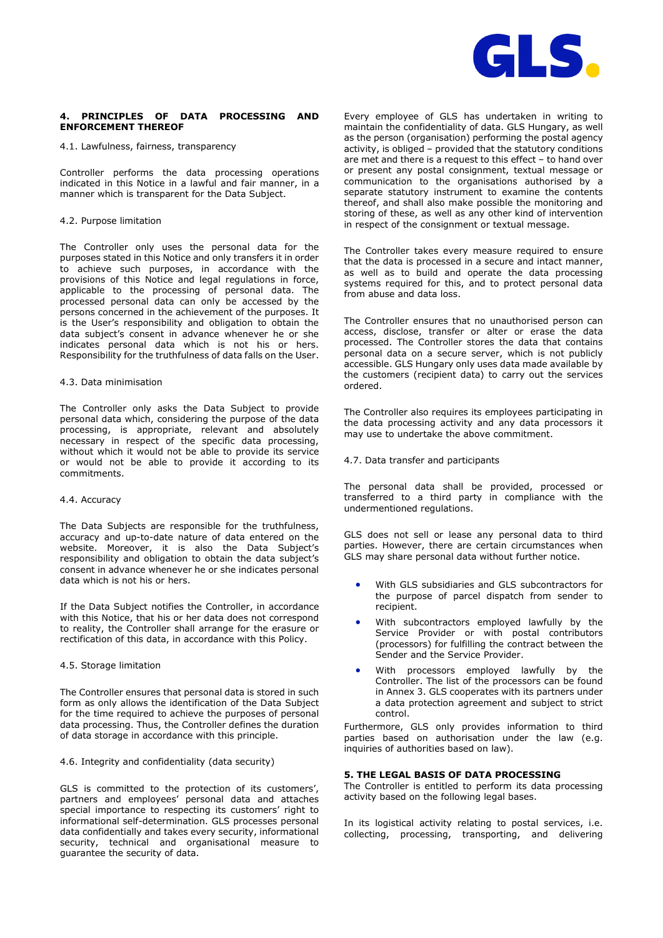

# **4. PRINCIPLES OF DATA PROCESSING AND ENFORCEMENT THEREOF**

4.1. Lawfulness, fairness, transparency

Controller performs the data processing operations indicated in this Notice in a lawful and fair manner, in a manner which is transparent for the Data Subject.

#### 4.2. Purpose limitation

The Controller only uses the personal data for the purposes stated in this Notice and only transfers it in order to achieve such purposes, in accordance with the provisions of this Notice and legal regulations in force, applicable to the processing of personal data. The processed personal data can only be accessed by the persons concerned in the achievement of the purposes. It is the User's responsibility and obligation to obtain the data subject's consent in advance whenever he or she indicates personal data which is not his or hers. Responsibility for the truthfulness of data falls on the User.

#### 4.3. Data minimisation

The Controller only asks the Data Subject to provide personal data which, considering the purpose of the data processing, is appropriate, relevant and absolutely necessary in respect of the specific data processing, without which it would not be able to provide its service or would not be able to provide it according to its commitments.

#### 4.4. Accuracy

The Data Subjects are responsible for the truthfulness, accuracy and up-to-date nature of data entered on the website. Moreover, it is also the Data Subject's responsibility and obligation to obtain the data subject's consent in advance whenever he or she indicates personal data which is not his or hers.

If the Data Subject notifies the Controller, in accordance with this Notice, that his or her data does not correspond to reality, the Controller shall arrange for the erasure or rectification of this data, in accordance with this Policy.

### 4.5. Storage limitation

The Controller ensures that personal data is stored in such form as only allows the identification of the Data Subject for the time required to achieve the purposes of personal data processing. Thus, the Controller defines the duration of data storage in accordance with this principle.

# 4.6. Integrity and confidentiality (data security)

GLS is committed to the protection of its customers', partners and employees' personal data and attaches special importance to respecting its customers' right to informational self-determination. GLS processes personal data confidentially and takes every security, informational security, technical and organisational measure to guarantee the security of data.

Every employee of GLS has undertaken in writing to maintain the confidentiality of data. GLS Hungary, as well as the person (organisation) performing the postal agency activity, is obliged – provided that the statutory conditions are met and there is a request to this effect – to hand over or present any postal consignment, textual message or communication to the organisations authorised by a separate statutory instrument to examine the contents thereof, and shall also make possible the monitoring and storing of these, as well as any other kind of intervention in respect of the consignment or textual message.

The Controller takes every measure required to ensure that the data is processed in a secure and intact manner, as well as to build and operate the data processing systems required for this, and to protect personal data from abuse and data loss.

The Controller ensures that no unauthorised person can access, disclose, transfer or alter or erase the data processed. The Controller stores the data that contains personal data on a secure server, which is not publicly accessible. GLS Hungary only uses data made available by the customers (recipient data) to carry out the services ordered.

The Controller also requires its employees participating in the data processing activity and any data processors it may use to undertake the above commitment.

4.7. Data transfer and participants

The personal data shall be provided, processed or transferred to a third party in compliance with the undermentioned regulations.

GLS does not sell or lease any personal data to third parties. However, there are certain circumstances when GLS may share personal data without further notice.

- With GLS subsidiaries and GLS subcontractors for the purpose of parcel dispatch from sender to recipient.
- With subcontractors employed lawfully by the Service Provider or with postal contributors (processors) for fulfilling the contract between the Sender and the Service Provider.
- With processors employed lawfully by the Controller. The list of the processors can be found in Annex 3. GLS cooperates with its partners under a data protection agreement and subject to strict control.

Furthermore, GLS only provides information to third parties based on authorisation under the law (e.g. inquiries of authorities based on law).

# **5. THE LEGAL BASIS OF DATA PROCESSING**

The Controller is entitled to perform its data processing activity based on the following legal bases.

In its logistical activity relating to postal services, i.e. collecting, processing, transporting, and delivering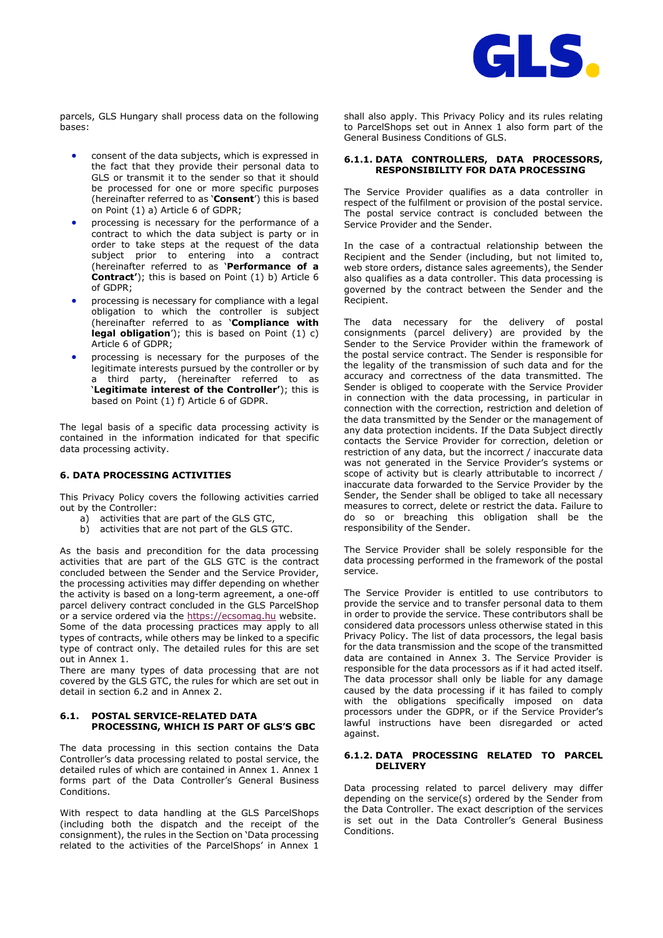

parcels, GLS Hungary shall process data on the following bases:

- consent of the data subjects, which is expressed in the fact that they provide their personal data to GLS or transmit it to the sender so that it should be processed for one or more specific purposes (hereinafter referred to as '**Consent**') this is based on Point (1) a) Article 6 of GDPR;
- processing is necessary for the performance of a contract to which the data subject is party or in order to take steps at the request of the data subject prior to entering into a contract (hereinafter referred to as '**Performance of a Contract'**); this is based on Point (1) b) Article 6 of GDPR;
- processing is necessary for compliance with a legal obligation to which the controller is subject (hereinafter referred to as '**Compliance with legal obligation**'); this is based on Point (1) c) Article 6 of GDPR;
- processing is necessary for the purposes of the legitimate interests pursued by the controller or by a third party, (hereinafter referred to as '**Legitimate interest of the Controller'**); this is based on Point (1) f) Article 6 of GDPR.

The legal basis of a specific data processing activity is contained in the information indicated for that specific data processing activity.

#### **6. DATA PROCESSING ACTIVITIES**

This Privacy Policy covers the following activities carried out by the Controller:

- a) activities that are part of the GLS GTC,
- b) activities that are not part of the GLS GTC.

As the basis and precondition for the data processing activities that are part of the GLS GTC is the contract concluded between the Sender and the Service Provider, the processing activities may differ depending on whether the activity is based on a long-term agreement, a one-off parcel delivery contract concluded in the GLS ParcelShop or a service ordered via the [https://ecsomag.hu](http://www.ecsomag.hu/) website. Some of the data processing practices may apply to all types of contracts, while others may be linked to a specific type of contract only. The detailed rules for this are set out in Annex 1.

There are many types of data processing that are not covered by the GLS GTC, the rules for which are set out in detail in section 6.2 and in Annex 2.

# **6.1. POSTAL SERVICE-RELATED DATA PROCESSING, WHICH IS PART OF GLS'S GBC**

The data processing in this section contains the Data Controller's data processing related to postal service, the detailed rules of which are contained in Annex 1. Annex 1 forms part of the Data Controller's General Business Conditions.

With respect to data handling at the GLS ParcelShops (including both the dispatch and the receipt of the consignment), the rules in the Section on 'Data processing related to the activities of the ParcelShops' in Annex 1

shall also apply. This Privacy Policy and its rules relating to ParcelShops set out in Annex 1 also form part of the General Business Conditions of GLS.

#### **6.1.1. DATA CONTROLLERS, DATA PROCESSORS, RESPONSIBILITY FOR DATA PROCESSING**

The Service Provider qualifies as a data controller in respect of the fulfilment or provision of the postal service. The postal service contract is concluded between the Service Provider and the Sender.

In the case of a contractual relationship between the Recipient and the Sender (including, but not limited to, web store orders, distance sales agreements), the Sender also qualifies as a data controller. This data processing is governed by the contract between the Sender and the Recipient.

The data necessary for the delivery of postal consignments (parcel delivery) are provided by the Sender to the Service Provider within the framework of the postal service contract. The Sender is responsible for the legality of the transmission of such data and for the accuracy and correctness of the data transmitted. The Sender is obliged to cooperate with the Service Provider in connection with the data processing, in particular in connection with the correction, restriction and deletion of the data transmitted by the Sender or the management of any data protection incidents. If the Data Subject directly contacts the Service Provider for correction, deletion or restriction of any data, but the incorrect / inaccurate data was not generated in the Service Provider's systems or scope of activity but is clearly attributable to incorrect / inaccurate data forwarded to the Service Provider by the Sender, the Sender shall be obliged to take all necessary measures to correct, delete or restrict the data. Failure to do so or breaching this obligation shall be the responsibility of the Sender.

The Service Provider shall be solely responsible for the data processing performed in the framework of the postal service.

The Service Provider is entitled to use contributors to provide the service and to transfer personal data to them in order to provide the service. These contributors shall be considered data processors unless otherwise stated in this Privacy Policy. The list of data processors, the legal basis for the data transmission and the scope of the transmitted data are contained in Annex 3. The Service Provider is responsible for the data processors as if it had acted itself. The data processor shall only be liable for any damage caused by the data processing if it has failed to comply with the obligations specifically imposed on data processors under the GDPR, or if the Service Provider's lawful instructions have been disregarded or acted against.

# **6.1.2. DATA PROCESSING RELATED TO PARCEL DELIVERY**

Data processing related to parcel delivery may differ depending on the service(s) ordered by the Sender from the Data Controller. The exact description of the services is set out in the Data Controller's General Business Conditions.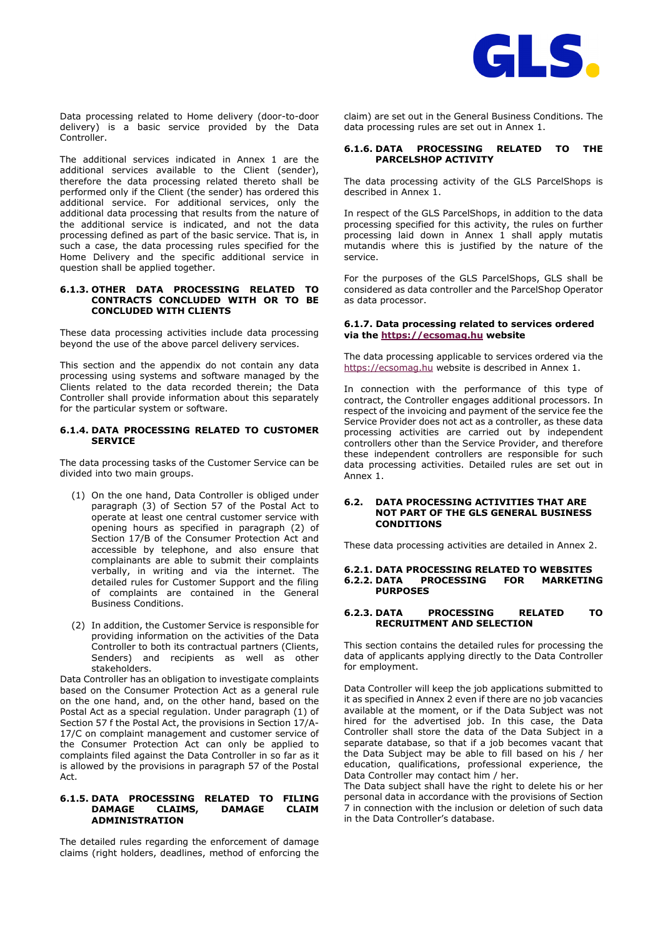

Data processing related to Home delivery (door-to-door delivery) is a basic service provided by the Data Controller.

The additional services indicated in Annex 1 are the additional services available to the Client (sender), therefore the data processing related thereto shall be performed only if the Client (the sender) has ordered this additional service. For additional services, only the additional data processing that results from the nature of the additional service is indicated, and not the data processing defined as part of the basic service. That is, in such a case, the data processing rules specified for the Home Delivery and the specific additional service in question shall be applied together.

#### **6.1.3. OTHER DATA PROCESSING RELATED TO CONTRACTS CONCLUDED WITH OR TO BE CONCLUDED WITH CLIENTS**

These data processing activities include data processing beyond the use of the above parcel delivery services.

This section and the appendix do not contain any data processing using systems and software managed by the Clients related to the data recorded therein; the Data Controller shall provide information about this separately for the particular system or software.

### **6.1.4. DATA PROCESSING RELATED TO CUSTOMER SERVICE**

The data processing tasks of the Customer Service can be divided into two main groups.

- (1) On the one hand, Data Controller is obliged under paragraph (3) of Section 57 of the Postal Act to operate at least one central customer service with opening hours as specified in paragraph (2) of Section 17/B of the Consumer Protection Act and accessible by telephone, and also ensure that complainants are able to submit their complaints verbally, in writing and via the internet. The detailed rules for Customer Support and the filing of complaints are contained in the General Business Conditions.
- (2) In addition, the Customer Service is responsible for providing information on the activities of the Data Controller to both its contractual partners (Clients, Senders) and recipients as well as other stakeholders.

Data Controller has an obligation to investigate complaints based on the Consumer Protection Act as a general rule on the one hand, and, on the other hand, based on the Postal Act as a special regulation. Under paragraph (1) of Section 57 f the Postal Act, the provisions in Section 17/A-17/C on complaint management and customer service of the Consumer Protection Act can only be applied to complaints filed against the Data Controller in so far as it is allowed by the provisions in paragraph 57 of the Postal Act.

# **6.1.5. DATA PROCESSING RELATED TO FILING DAMAGE ADMINISTRATION**

The detailed rules regarding the enforcement of damage claims (right holders, deadlines, method of enforcing the claim) are set out in the General Business Conditions. The data processing rules are set out in Annex 1.

# **6.1.6. DATA PROCESSING RELATED TO THE PARCELSHOP ACTIVITY**

The data processing activity of the GLS ParcelShops is described in Annex 1.

In respect of the GLS ParcelShops, in addition to the data processing specified for this activity, the rules on further processing laid down in Annex 1 shall apply mutatis mutandis where this is justified by the nature of the service.

For the purposes of the GLS ParcelShops, GLS shall be considered as data controller and the ParcelShop Operator as data processor.

# **6.1.7. Data processing related to services ordered via the [https://ecsomag.hu](http://www.ecsomag.hu/) website**

The data processing applicable to services ordered via the [https://ecsomag.hu](http://www.ecsomag.hu/) website is described in Annex 1.

In connection with the performance of this type of contract, the Controller engages additional processors. In respect of the invoicing and payment of the service fee the Service Provider does not act as a controller, as these data processing activities are carried out by independent controllers other than the Service Provider, and therefore these independent controllers are responsible for such data processing activities. Detailed rules are set out in Annex 1.

#### **6.2. DATA PROCESSING ACTIVITIES THAT ARE NOT PART OF THE GLS GENERAL BUSINESS CONDITIONS**

These data processing activities are detailed in Annex 2.

#### **6.2.1. DATA PROCESSING RELATED TO WEBSITES 6.2.2. DATA PROCESSING FOR MARKETING PURPOSES**

# **6.2.3. DATA PROCESSING RELATED TO RECRUITMENT AND SELECTION**

This section contains the detailed rules for processing the data of applicants applying directly to the Data Controller for employment.

Data Controller will keep the job applications submitted to it as specified in Annex 2 even if there are no job vacancies available at the moment, or if the Data Subject was not hired for the advertised job. In this case, the Data Controller shall store the data of the Data Subject in a separate database, so that if a job becomes vacant that the Data Subject may be able to fill based on his / her education, qualifications, professional experience, the Data Controller may contact him / her.

The Data subject shall have the right to delete his or her personal data in accordance with the provisions of Section 7 in connection with the inclusion or deletion of such data in the Data Controller's database.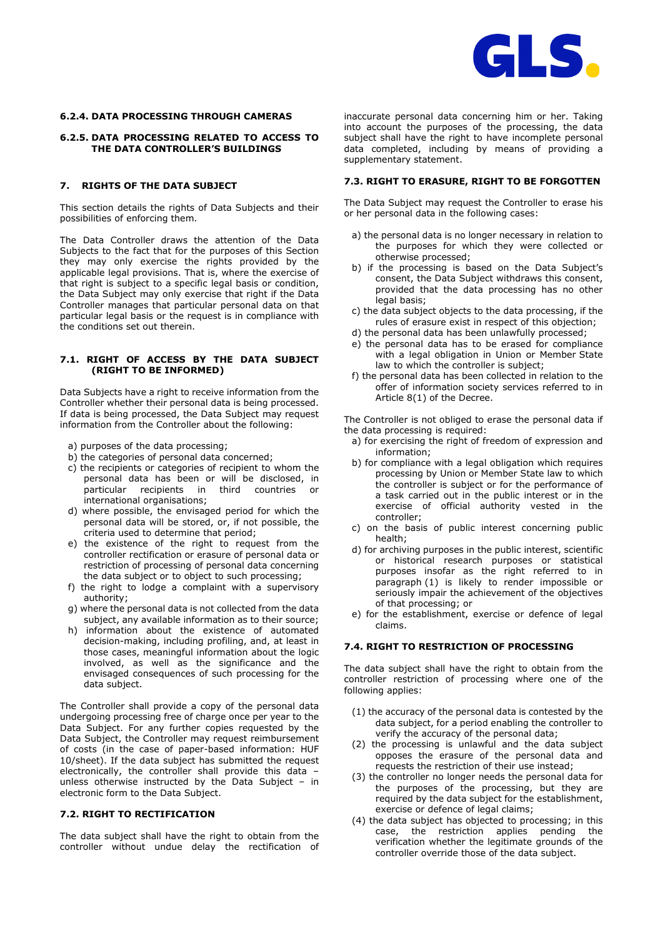

# **6.2.4. DATA PROCESSING THROUGH CAMERAS**

# **6.2.5. DATA PROCESSING RELATED TO ACCESS TO THE DATA CONTROLLER'S BUILDINGS**

# **7. RIGHTS OF THE DATA SUBJECT**

This section details the rights of Data Subjects and their possibilities of enforcing them.

The Data Controller draws the attention of the Data Subjects to the fact that for the purposes of this Section they may only exercise the rights provided by the applicable legal provisions. That is, where the exercise of that right is subject to a specific legal basis or condition, the Data Subject may only exercise that right if the Data Controller manages that particular personal data on that particular legal basis or the request is in compliance with the conditions set out therein.

# **7.1. RIGHT OF ACCESS BY THE DATA SUBJECT (RIGHT TO BE INFORMED)**

Data Subjects have a right to receive information from the Controller whether their personal data is being processed. If data is being processed, the Data Subject may request information from the Controller about the following:

- a) purposes of the data processing;
- b) the categories of personal data concerned;
- c) the recipients or categories of recipient to whom the personal data has been or will be disclosed, in particular recipients in third countries or international organisations;
- d) where possible, the envisaged period for which the personal data will be stored, or, if not possible, the criteria used to determine that period;
- e) the existence of the right to request from the controller rectification or erasure of personal data or restriction of processing of personal data concerning the data subject or to object to such processing;
- f) the right to lodge a complaint with a supervisory authority;
- g) where the personal data is not collected from the data subject, any available information as to their source;
- h) information about the existence of automated decision-making, including profiling, and, at least in those cases, meaningful information about the logic involved, as well as the significance and the envisaged consequences of such processing for the data subject.

The Controller shall provide a copy of the personal data undergoing processing free of charge once per year to the Data Subject. For any further copies requested by the Data Subject, the Controller may request reimbursement of costs (in the case of paper-based information: HUF 10/sheet). If the data subject has submitted the request electronically, the controller shall provide this data – unless otherwise instructed by the Data Subject – in electronic form to the Data Subject.

### **7.2. RIGHT TO RECTIFICATION**

The data subject shall have the right to obtain from the controller without undue delay the rectification of inaccurate personal data concerning him or her. Taking into account the purposes of the processing, the data subject shall have the right to have incomplete personal data completed, including by means of providing a supplementary statement.

# **7.3. RIGHT TO ERASURE, RIGHT TO BE FORGOTTEN**

The Data Subject may request the Controller to erase his or her personal data in the following cases:

- a) the personal data is no longer necessary in relation to the purposes for which they were collected or otherwise processed;
- b) if the processing is based on the Data Subject's consent, the Data Subject withdraws this consent, provided that the data processing has no other legal basis;
- c) the data subject objects to the data processing, if the rules of erasure exist in respect of this objection;
- d) the personal data has been unlawfully processed;
- e) the personal data has to be erased for compliance with a legal obligation in Union or Member State law to which the controller is subject;
- f) the personal data has been collected in relation to the offer of information society services referred to in Article 8(1) of the Decree.

The Controller is not obliged to erase the personal data if the data processing is required:

- a) for exercising the right of freedom of expression and information;
- b) for compliance with a legal obligation which requires processing by Union or Member State law to which the controller is subject or for the performance of a task carried out in the public interest or in the exercise of official authority vested in the controller;
- c) on the basis of public interest concerning public health;
- d) for archiving purposes in the public interest, scientific or historical research purposes or statistical purposes insofar as the right referred to in paragraph (1) is likely to render impossible or seriously impair the achievement of the objectives of that processing; or
- e) for the establishment, exercise or defence of legal claims.

### **7.4. RIGHT TO RESTRICTION OF PROCESSING**

The data subject shall have the right to obtain from the controller restriction of processing where one of the following applies:

- (1) the accuracy of the personal data is contested by the data subject, for a period enabling the controller to verify the accuracy of the personal data;
- (2) the processing is unlawful and the data subject opposes the erasure of the personal data and requests the restriction of their use instead;
- (3) the controller no longer needs the personal data for the purposes of the processing, but they are required by the data subject for the establishment, exercise or defence of legal claims;
- (4) the data subject has objected to processing; in this case, the restriction applies pending the verification whether the legitimate grounds of the controller override those of the data subject.